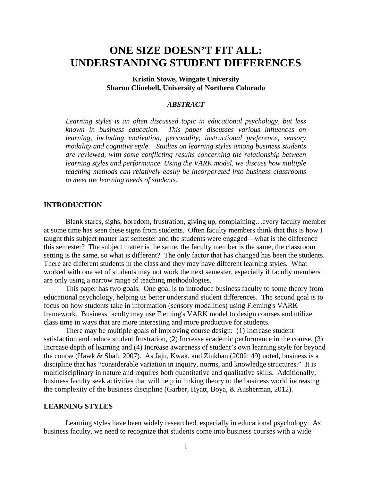# **ONE SIZE DOESN'T FIT ALL: UNDERSTANDING STUDENT DIFFERENCES**

# **Kristin Stowe, Wingate University Sharon Clinebell, University of Northern Colorado**

## *ABSTRACT*

*Learning styles is an often discussed topic in educational psychology, but less known in business education. This paper discusses various influences on learning, including motivation, personality, instructional preference, sensory modality and cognitive style. Studies on learning styles among business students are reviewed, with some conflicting results concerning the relationship between learning styles and performance. Using the VARK model, we discuss how multiple teaching methods can relatively easily be incorporated into business classrooms to meet the learning needs of students.* 

# **INTRODUCTION**

Blank stares, sighs, boredom, frustration, giving up, complaining…every faculty member at some time has seen these signs from students. Often faculty members think that this is how I taught this subject matter last semester and the students were engaged—what is the difference this semester? The subject matter is the same, the faculty member is the same, the classroom setting is the same, so what is different? The only factor that has changed has been the students. There are different students in the class and they may have different learning styles. What worked with one set of students may not work the next semester, especially if faculty members are only using a narrow range of teaching methodologies.

This paper has two goals. One goal is to introduce business faculty to some theory from educational psychology, helping us better understand student differences. The second goal is to focus on how students take in information (sensory modalities) using Fleming's VARK framework. Business faculty may use Fleming's VARK model to design courses and utilize class time in ways that are more interesting and more productive for students.

 There may be multiple goals of improving course design: (1) Increase student satisfaction and reduce student frustration, (2) Increase academic performance in the course, (3) Increase depth of learning and (4) Increase awareness of student's own learning style for beyond the course (Hawk & Shah, 2007). As Jaju, Kwak, and Zinkhan (2002: 49) noted, business is a discipline that has "considerable variation in inquiry, norms, and knowledge structures." It is multidisciplinary in nature and requires both quantitative and qualitative skills. Additionally, business faculty seek activities that will help in linking theory to the business world increasing the complexity of the business discipline (Garber, Hyatt, Boya, & Ausherman, 2012).

#### **LEARNING STYLES**

Learning styles have been widely researched, especially in educational psychology. As business faculty, we need to recognize that students come into business courses with a wide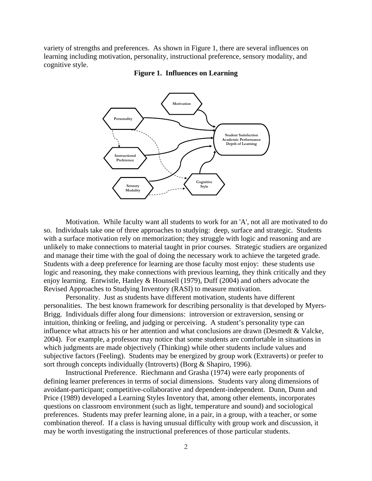variety of strengths and preferences. As shown in Figure 1, there are several influences on learning including motivation, personality, instructional preference, sensory modality, and cognitive style.



#### **Figure 1. Influences on Learning**

Motivation. While faculty want all students to work for an 'A', not all are motivated to do so. Individuals take one of three approaches to studying: deep, surface and strategic. Students with a surface motivation rely on memorization; they struggle with logic and reasoning and are unlikely to make connections to material taught in prior courses. Strategic studiers are organized and manage their time with the goal of doing the necessary work to achieve the targeted grade. Students with a deep preference for learning are those faculty most enjoy: these students use logic and reasoning, they make connections with previous learning, they think critically and they enjoy learning. Entwistle, Hanley & Hounsell (1979), Duff (2004) and others advocate the Revised Approaches to Studying Inventory (RASI) to measure motivation.

 Personality. Just as students have different motivation, students have different personalities. The best known framework for describing personality is that developed by Myers-Brigg. Individuals differ along four dimensions: introversion or extraversion, sensing or intuition, thinking or feeling, and judging or perceiving. A student's personality type can influence what attracts his or her attention and what conclusions are drawn (Desmedt & Valcke, 2004). For example, a professor may notice that some students are comfortable in situations in which judgments are made objectively (Thinking) while other students include values and subjective factors (Feeling). Students may be energized by group work (Extraverts) or prefer to sort through concepts individually (Introverts) (Borg & Shapiro, 1996).

 Instructional Preference. Riechmann and Grasha (1974) were early proponents of defining learner preferences in terms of social dimensions. Students vary along dimensions of avoidant-participant; competitive-collaborative and dependent-independent. Dunn, Dunn and Price (1989) developed a Learning Styles Inventory that, among other elements, incorporates questions on classroom environment (such as light, temperature and sound) and sociological preferences. Students may prefer learning alone, in a pair, in a group, with a teacher, or some combination thereof. If a class is having unusual difficulty with group work and discussion, it may be worth investigating the instructional preferences of those particular students.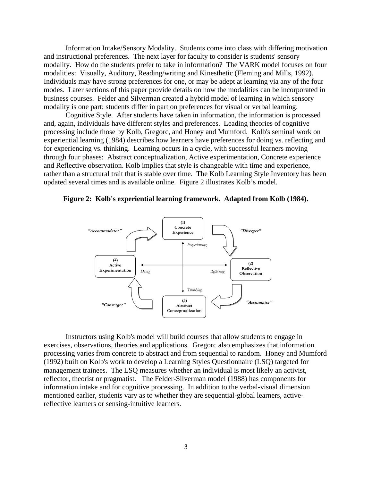Information Intake/Sensory Modality. Students come into class with differing motivation and instructional preferences. The next layer for faculty to consider is students' sensory modality. How do the students prefer to take in information? The VARK model focuses on four modalities: Visually, Auditory, Reading/writing and Kinesthetic (Fleming and Mills, 1992). Individuals may have strong preferences for one, or may be adept at learning via any of the four modes. Later sections of this paper provide details on how the modalities can be incorporated in business courses. Felder and Silverman created a hybrid model of learning in which sensory modality is one part; students differ in part on preferences for visual or verbal learning.

 Cognitive Style. After students have taken in information, the information is processed and, again, individuals have different styles and preferences. Leading theories of cognitive processing include those by Kolb, Gregorc, and Honey and Mumford. Kolb's seminal work on experiential learning (1984) describes how learners have preferences for doing vs. reflecting and for experiencing vs. thinking. Learning occurs in a cycle, with successful learners moving through four phases: Abstract conceptualization, Active experimentation, Concrete experience and Reflective observation. Kolb implies that style is changeable with time and experience, rather than a structural trait that is stable over time. The Kolb Learning Style Inventory has been updated several times and is available online. Figure 2 illustrates Kolb's model.





Instructors using Kolb's model will build courses that allow students to engage in exercises, observations, theories and applications. Gregorc also emphasizes that information processing varies from concrete to abstract and from sequential to random. Honey and Mumford (1992) built on Kolb's work to develop a Learning Styles Questionnaire (LSQ) targeted for management trainees. The LSQ measures whether an individual is most likely an activist, reflector, theorist or pragmatist. The Felder-Silverman model (1988) has components for information intake and for cognitive processing. In addition to the verbal-visual dimension mentioned earlier, students vary as to whether they are sequential-global learners, activereflective learners or sensing-intuitive learners.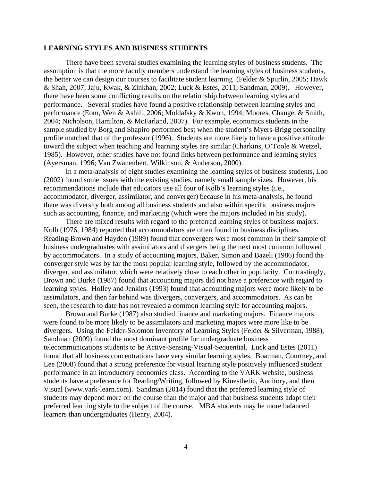#### **LEARNING STYLES AND BUSINESS STUDENTS**

There have been several studies examining the learning styles of business students. The assumption is that the more faculty members understand the learning styles of business students, the better we can design our courses to facilitate student learning (Felder & Spurlin, 2005; Hawk & Shah, 2007; Jaju, Kwak, & Zinkhan, 2002; Luck & Estes, 2011; Sandman, 2009). However, there have been some conflicting results on the relationship between learning styles and performance. Several studies have found a positive relationship between learning styles and performance (Eom, Wen & Ashill, 2006; Moldafsky & Kwon, 1994; Moores, Change, & Smith, 2004; Nicholson, Hamilton, & McFarland, 2007). For example, economics students in the sample studied by Borg and Shapiro performed best when the student's Myers-Brigg personality profile matched that of the professor (1996). Students are more likely to have a positive attitude toward the subject when teaching and learning styles are similar (Charkins, O'Toole & Wetzel, 1985). However, other studies have not found links between performance and learning styles (Ayersman, 1996; Van Zwanenbert, Wilkinson, & Anderson, 2000).

In a meta-analysis of eight studies examining the learning styles of business students, Loo (2002) found some issues with the existing studies, namely small sample sizes. However, his recommendations include that educators use all four of Kolb's learning styles (i.e., accommodator, diverger, assimilator, and converger) because in his meta-analysis, he found there was diversity both among all business students and also within specific business majors such as accounting, finance, and marketing (which were the majors included in his study).

There are mixed results with regard to the preferred learning styles of business majors. Kolb (1976, 1984) reported that accommodators are often found in business disciplines. Reading-Brown and Hayden (1989) found that convergers were most common in their sample of business undergraduates with assimilators and divergers being the next most common followed by accommodators. In a study of accounting majors, Baker, Simon and Bazeli (1986) found the converger style was by far the most popular learning style, followed by the accommodator, diverger, and assimilator, which were relatively close to each other in popularity. Contrastingly, Brown and Burke (1987) found that accounting majors did not have a preference with regard to learning styles. Holley and Jenkins (1993) found that accounting majors were more likely to be assimilators, and then far behind was divergers, convergers, and accommodators. As can be seen, the research to date has not revealed a common learning style for accounting majors.

Brown and Burke (1987) also studied finance and marketing majors. Finance majors were found to be more likely to be assimilators and marketing majors were more like to be divergers. Using the Felder-Solomon Inventory of Learning Styles (Felder & Silverman, 1988), Sandman (2009) found the most dominant profile for undergraduate business telecommunications students to be Active-Sensing-Visual-Sequential. Luck and Estes (2011) found that all business concentrations have very similar learning styles. Boatman, Courtney, and Lee (2008) found that a strong preference for visual learning style positively influenced student performance in an introductory economics class. According to the VARK website, business students have a preference for Reading/Writing, followed by Kinesthetic, Auditory, and then Visual (www.vark-learn.com). Sandman (2014) found that the preferred learning style of students may depend more on the course than the major and that business students adapt their preferred learning style to the subject of the course. MBA students may be more balanced learners than undergraduates (Henry, 2004).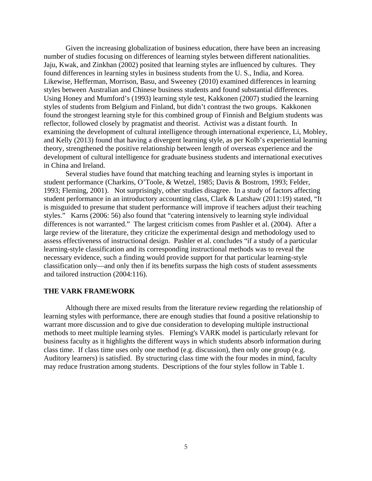Given the increasing globalization of business education, there have been an increasing number of studies focusing on differences of learning styles between different nationalities. Jaju, Kwak, and Zinkhan (2002) posited that learning styles are influenced by cultures. They found differences in learning styles in business students from the U. S., India, and Korea. Likewise, Hefferman, Morrison, Basu, and Sweeney (2010) examined differences in learning styles between Australian and Chinese business students and found substantial differences. Using Honey and Mumford's (1993) learning style test, Kakkonen (2007) studied the learning styles of students from Belgium and Finland, but didn't contrast the two groups. Kakkonen found the strongest learning style for this combined group of Finnish and Belgium students was reflector, followed closely by pragmatist and theorist. Activist was a distant fourth. In examining the development of cultural intelligence through international experience, Li, Mobley, and Kelly (2013) found that having a divergent learning style, as per Kolb's experiential learning theory, strengthened the positive relationship between length of overseas experience and the development of cultural intelligence for graduate business students and international executives in China and Ireland.

Several studies have found that matching teaching and learning styles is important in student performance (Charkins, O'Toole, & Wetzel, 1985; Davis & Bostrom, 1993; Felder, 1993; Fleming, 2001). Not surprisingly, other studies disagree. In a study of factors affecting student performance in an introductory accounting class, Clark & Latshaw (2011:19) stated, "It is misguided to presume that student performance will improve if teachers adjust their teaching styles." Karns (2006: 56) also found that "catering intensively to learning style individual differences is not warranted." The largest criticism comes from Pashler et al. (2004). After a large review of the literature, they criticize the experimental design and methodology used to assess effectiveness of instructional design. Pashler et al. concludes "if a study of a particular learning-style classification and its corresponding instructional methods was to reveal the necessary evidence, such a finding would provide support for that particular learning-style classification only—and only then if its benefits surpass the high costs of student assessments and tailored instruction (2004:116).

# **THE VARK FRAMEWORK**

Although there are mixed results from the literature review regarding the relationship of learning styles with performance, there are enough studies that found a positive relationship to warrant more discussion and to give due consideration to developing multiple instructional methods to meet multiple learning styles. Fleming's VARK model is particularly relevant for business faculty as it highlights the different ways in which students absorb information during class time. If class time uses only one method (e.g. discussion), then only one group (e.g. Auditory learners) is satisfied. By structuring class time with the four modes in mind, faculty may reduce frustration among students. Descriptions of the four styles follow in Table 1.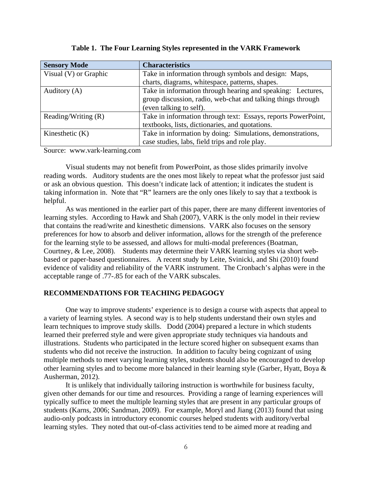| <b>Sensory Mode</b>   | <b>Characteristics</b>                                        |  |
|-----------------------|---------------------------------------------------------------|--|
| Visual (V) or Graphic | Take in information through symbols and design: Maps,         |  |
|                       | charts, diagrams, whitespace, patterns, shapes.               |  |
| Auditory (A)          | Take in information through hearing and speaking: Lectures,   |  |
|                       | group discussion, radio, web-chat and talking things through  |  |
|                       | (even talking to self).                                       |  |
| Reading/Writing $(R)$ | Take in information through text: Essays, reports PowerPoint, |  |
|                       | textbooks, lists, dictionaries, and quotations.               |  |
| Kinesthetic $(K)$     | Take in information by doing: Simulations, demonstrations,    |  |
|                       | case studies, labs, field trips and role play.                |  |

**Table 1. The Four Learning Styles represented in the VARK Framework**

Source: www.vark-learning.com

Visual students may not benefit from PowerPoint, as those slides primarily involve reading words. Auditory students are the ones most likely to repeat what the professor just said or ask an obvious question. This doesn't indicate lack of attention; it indicates the student is taking information in. Note that "R" learners are the only ones likely to say that a textbook is helpful.

As was mentioned in the earlier part of this paper, there are many different inventories of learning styles. According to Hawk and Shah (2007), VARK is the only model in their review that contains the read/write and kinesthetic dimensions. VARK also focuses on the sensory preferences for how to absorb and deliver information, allows for the strength of the preference for the learning style to be assessed, and allows for multi-modal preferences (Boatman, Courtney, & Lee, 2008). Students may determine their VARK learning styles via short webbased or paper-based questionnaires. A recent study by Leite, Svinicki, and Shi (2010) found evidence of validity and reliability of the VARK instrument. The Cronbach's alphas were in the acceptable range of .77-.85 for each of the VARK subscales.

## **RECOMMENDATIONS FOR TEACHING PEDAGOGY**

One way to improve students' experience is to design a course with aspects that appeal to a variety of learning styles. A second way is to help students understand their own styles and learn techniques to improve study skills. Dodd (2004) prepared a lecture in which students learned their preferred style and were given appropriate study techniques via handouts and illustrations. Students who participated in the lecture scored higher on subsequent exams than students who did not receive the instruction. In addition to faculty being cognizant of using multiple methods to meet varying learning styles, students should also be encouraged to develop other learning styles and to become more balanced in their learning style (Garber, Hyatt, Boya & Ausherman, 2012).

It is unlikely that individually tailoring instruction is worthwhile for business faculty, given other demands for our time and resources. Providing a range of learning experiences will typically suffice to meet the multiple learning styles that are present in any particular groups of students (Karns, 2006; Sandman, 2009). For example, Moryl and Jiang (2013) found that using audio-only podcasts in introductory economic courses helped students with auditory/verbal learning styles. They noted that out-of-class activities tend to be aimed more at reading and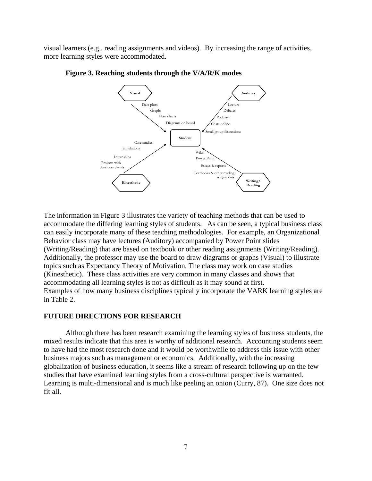visual learners (e.g., reading assignments and videos). By increasing the range of activities, more learning styles were accommodated.



**Figure 3. Reaching students through the V/A/R/K modes** 

The information in Figure 3 illustrates the variety of teaching methods that can be used to accommodate the differing learning styles of students. As can be seen, a typical business class can easily incorporate many of these teaching methodologies. For example, an Organizational Behavior class may have lectures (Auditory) accompanied by Power Point slides (Writing/Reading) that are based on textbook or other reading assignments (Writing/Reading). Additionally, the professor may use the board to draw diagrams or graphs (Visual) to illustrate topics such as Expectancy Theory of Motivation. The class may work on case studies (Kinesthetic). These class activities are very common in many classes and shows that accommodating all learning styles is not as difficult as it may sound at first. Examples of how many business disciplines typically incorporate the VARK learning styles are in Table 2.

#### **FUTURE DIRECTIONS FOR RESEARCH**

Although there has been research examining the learning styles of business students, the mixed results indicate that this area is worthy of additional research. Accounting students seem to have had the most research done and it would be worthwhile to address this issue with other business majors such as management or economics. Additionally, with the increasing globalization of business education, it seems like a stream of research following up on the few studies that have examined learning styles from a cross-cultural perspective is warranted. Learning is multi-dimensional and is much like peeling an onion (Curry, 87). One size does not fit all.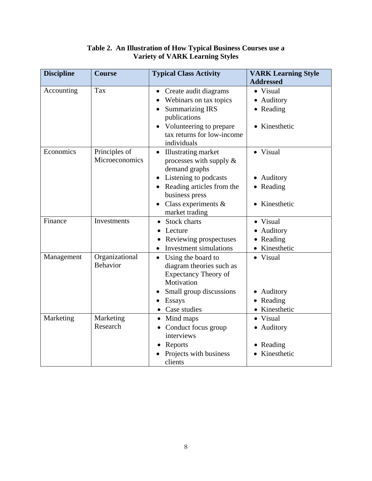| <b>Discipline</b> | <b>Course</b>   | <b>Typical Class Activity</b>   | <b>VARK Learning Style</b> |
|-------------------|-----------------|---------------------------------|----------------------------|
|                   |                 |                                 | <b>Addressed</b>           |
| Accounting        | Tax             | • Create audit diagrams         | • Visual                   |
|                   |                 | Webinars on tax topics          | • Auditory                 |
|                   |                 | <b>Summarizing IRS</b>          | • Reading                  |
|                   |                 | publications                    |                            |
|                   |                 | • Volunteering to prepare       | • Kinesthetic              |
|                   |                 | tax returns for low-income      |                            |
|                   |                 | individuals                     |                            |
| Economics         | Principles of   | <b>Illustrating market</b>      | • Visual                   |
|                   | Microeconomics  | processes with supply $\&$      |                            |
|                   |                 | demand graphs                   |                            |
|                   |                 | Listening to podcasts           | • Auditory                 |
|                   |                 | Reading articles from the       | • Reading                  |
|                   |                 | business press                  |                            |
|                   |                 | Class experiments &             | • Kinesthetic              |
|                   |                 | market trading                  |                            |
| Finance           | Investments     | Stock charts                    | • Visual                   |
|                   |                 | Lecture                         | • Auditory                 |
|                   |                 | Reviewing prospectuses          | • Reading                  |
|                   |                 | <b>Investment simulations</b>   | • Kinesthetic              |
| Management        | Organizational  | Using the board to<br>$\bullet$ | • Visual                   |
|                   | <b>Behavior</b> | diagram theories such as        |                            |
|                   |                 | <b>Expectancy Theory of</b>     |                            |
|                   |                 | Motivation                      |                            |
|                   |                 | Small group discussions         | • Auditory                 |
|                   |                 | Essays                          | • Reading                  |
|                   |                 | • Case studies                  | • Kinesthetic              |
| Marketing         | Marketing       | • Mind maps                     | • Visual                   |
|                   | Research        | • Conduct focus group           | • Auditory                 |
|                   |                 | interviews                      |                            |
|                   |                 | Reports                         | • Reading                  |
|                   |                 | Projects with business          | • Kinesthetic              |
|                   |                 | clients                         |                            |

# **Table 2. An Illustration of How Typical Business Courses use a Variety of VARK Learning Styles**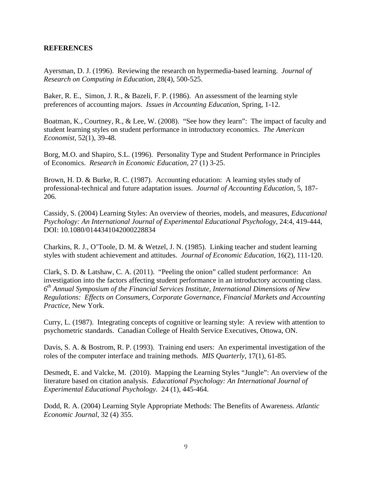# **REFERENCES**

Ayersman, D. J. (1996). Reviewing the research on hypermedia-based learning. *Journal of Research on Computing in Education*, 28(4), 500-525.

Baker, R. E., Simon, J. R., & Bazeli, F. P. (1986). An assessment of the learning style preferences of accounting majors. *Issues in Accounting Education*, Spring, 1-12.

Boatman, K., Courtney, R., & Lee, W. (2008). "See how they learn": The impact of faculty and student learning styles on student performance in introductory economics. *The American Economist,* 52(1), 39-48.

Borg, M.O. and Shapiro, S.L. (1996). Personality Type and Student Performance in Principles of Economics. *Research in Economic Education*, 27 (1) 3-25.

Brown, H. D. & Burke, R. C. (1987). Accounting education: A learning styles study of professional-technical and future adaptation issues. *Journal of Accounting Education*, 5, 187- 206.

Cassidy, S. (2004) Learning Styles: An overview of theories, models, and measures, *Educational Psychology: An International Journal of Experimental Educational Psychology*, 24:4, 419-444, DOI: 10.1080/0144341042000228834

Charkins, R. J., O'Toole, D. M. & Wetzel, J. N. (1985). Linking teacher and student learning styles with student achievement and attitudes. *Journal of Economic Education,* 16(2), 111-120.

Clark, S. D. & Latshaw, C. A. (2011). "Peeling the onion" called student performance: An investigation into the factors affecting student performance in an introductory accounting class. *6th Annual Symposium of the Financial Services Institute, International Dimensions of New Regulations: Effects on Consumers, Corporate Governance, Financial Markets and Accounting Practice,* New York.

Curry, L. (1987). Integrating concepts of cognitive or learning style: A review with attention to psychometric standards. Canadian College of Health Service Executives, Ottowa, ON.

Davis, S. A. & Bostrom, R. P. (1993). Training end users: An experimental investigation of the roles of the computer interface and training methods. *MIS Quarterly*, 17(1), 61-85.

Desmedt, E. and Valcke, M. (2010). Mapping the Learning Styles "Jungle": An overview of the literature based on citation analysis. *Educational Psychology: An International Journal of Experimental Educational Psychology.* 24 (1), 445-464.

Dodd, R. A. (2004) Learning Style Appropriate Methods: The Benefits of Awareness. *Atlantic Economic Journal*, 32 (4) 355.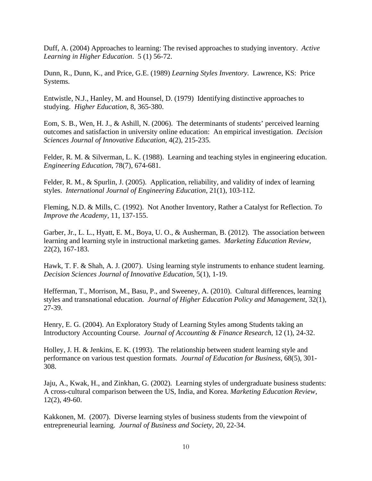Duff, A. (2004) Approaches to learning: The revised approaches to studying inventory. *Active Learning in Higher Education*. 5 (1) 56-72.

Dunn, R., Dunn, K., and Price, G.E. (1989) *Learning Styles Inventory*. Lawrence, KS: Price Systems.

Entwistle, N.J., Hanley, M. and Hounsel, D. (1979) Identifying distinctive approaches to studying. *Higher Education*, 8, 365-380.

Eom, S. B., Wen, H. J., & Ashill, N. (2006). The determinants of students' perceived learning outcomes and satisfaction in university online education: An empirical investigation. *Decision Sciences Journal of Innovative Education*, 4(2), 215-235.

Felder, R. M. & Silverman, L. K. (1988). Learning and teaching styles in engineering education. *Engineering Education*, 78(7), 674-681.

Felder, R. M., & Spurlin, J. (2005). Application, reliability, and validity of index of learning styles. *International Journal of Engineering Education*, 21(1), 103-112.

Fleming, N.D. & Mills, C. (1992). Not Another Inventory, Rather a Catalyst for Reflection. *To Improve the Academy*, 11, 137-155.

Garber, Jr., L. L., Hyatt, E. M., Boya, U. O., & Ausherman, B. (2012). The association between learning and learning style in instructional marketing games. *Marketing Education Review*, 22(2), 167-183.

Hawk, T. F. & Shah, A. J. (2007). Using learning style instruments to enhance student learning. *Decision Sciences Journal of Innovative Education*, 5(1), 1-19.

Hefferman, T., Morrison, M., Basu, P., and Sweeney, A. (2010). Cultural differences, learning styles and transnational education. *Journal of Higher Education Policy and Management*, 32(1), 27-39.

Henry, E. G. (2004). An Exploratory Study of Learning Styles among Students taking an Introductory Accounting Course. *Journal of Accounting & Finance Research*, 12 (1), 24-32.

Holley, J. H. & Jenkins, E. K. (1993). The relationship between student learning style and performance on various test question formats. *Journal of Education for Business,* 68(5), 301- 308.

Jaju, A., Kwak, H., and Zinkhan, G. (2002). Learning styles of undergraduate business students: A cross-cultural comparison between the US, India, and Korea. *Marketing Education Review*, 12(2), 49-60.

Kakkonen, M. (2007). Diverse learning styles of business students from the viewpoint of entrepreneurial learning. *Journal of Business and Society*, 20, 22-34.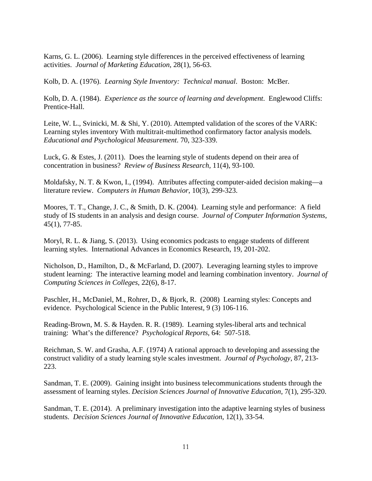Karns, G. L. (2006). Learning style differences in the perceived effectiveness of learning activities. *Journal of Marketing Education*, 28(1), 56-63.

Kolb, D. A. (1976). *Learning Style Inventory: Technical manual*. Boston: McBer.

Kolb, D. A. (1984). *Experience as the source of learning and development*. Englewood Cliffs: Prentice-Hall.

Leite, W. L., Svinicki, M. & Shi, Y. (2010). Attempted validation of the scores of the VARK: Learning styles inventory With multitrait-multimethod confirmatory factor analysis models*. Educational and Psychological Measurement*. 70, 323-339.

Luck, G. & Estes, J. (2011). Does the learning style of students depend on their area of concentration in business? *Review of Business Research,* 11(4), 93-100.

Moldafsky, N. T. & Kwon, I., (1994). Attributes affecting computer-aided decision making—a literature review. *Computers in Human Behavior*, 10(3), 299-323.

Moores, T. T., Change, J. C., & Smith, D. K. (2004). Learning style and performance: A field study of IS students in an analysis and design course. *Journal of Computer Information Systems*, 45(1), 77-85.

Moryl, R. L. & Jiang, S. (2013). Using economics podcasts to engage students of different learning styles. International Advances in Economics Research, 19, 201-202.

Nicholson, D., Hamilton, D., & McFarland, D. (2007). Leveraging learning styles to improve student learning: The interactive learning model and learning combination inventory. *Journal of Computing Sciences in Colleges*, 22(6), 8-17.

Paschler, H., McDaniel, M., Rohrer, D., & Bjork, R. (2008) Learning styles: Concepts and evidence. Psychological Science in the Public Interest, 9 (3) 106-116.

Reading-Brown, M. S. & Hayden. R. R. (1989). Learning styles-liberal arts and technical training: What's the difference? *Psychological Reports*, 64: 507-518.

Reichman, S. W. and Grasha, A.F. (1974) A rational approach to developing and assessing the construct validity of a study learning style scales investment. *Journal of Psychology*, 87, 213- 223.

Sandman, T. E. (2009). Gaining insight into business telecommunications students through the assessment of learning styles. *Decision Sciences Journal of Innovative Education*, 7(1), 295-320.

Sandman, T. E. (2014). A preliminary investigation into the adaptive learning styles of business students. *Decision Sciences Journal of Innovative Education*, 12(1), 33-54.